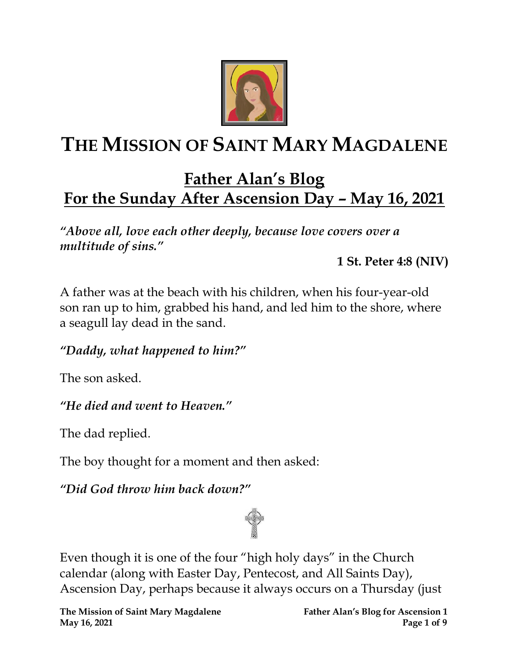

# **THE MISSION OF SAINT MARY MAGDALENE**

# **Father Alan's Blog For the Sunday After Ascension Day – May 16, 2021**

*"Above all, love each other deeply, because love covers over a multitude of sins."* 

**1 St. Peter 4:8 (NIV)** 

A father was at the beach with his children, when his four-year-old son ran up to him, grabbed his hand, and led him to the shore, where a seagull lay dead in the sand.

*"Daddy, what happened to him?"* 

The son asked.

## *"He died and went to Heaven."*

The dad replied.

The boy thought for a moment and then asked:

*"Did God throw him back down?"* 



Even though it is one of the four "high holy days" in the Church calendar (along with Easter Day, Pentecost, and All Saints Day), Ascension Day, perhaps because it always occurs on a Thursday (just

**The Mission of Saint Mary Magdalene Father Alan's Blog for Ascension 1 May 16, 2021 Page 1** of 9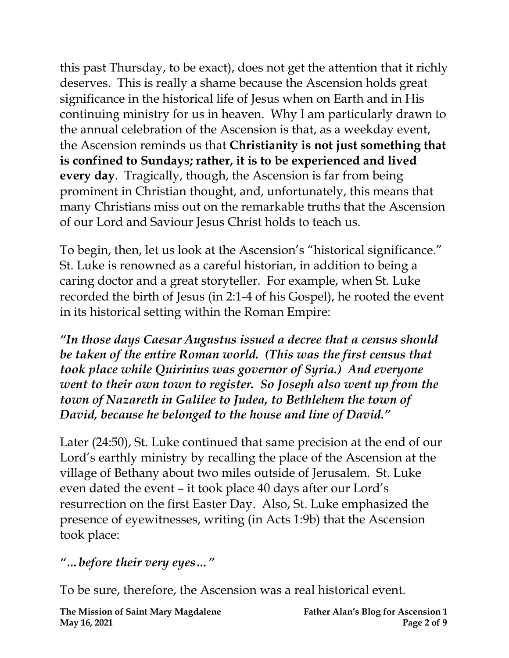this past Thursday, to be exact), does not get the attention that it richly deserves. This is really a shame because the Ascension holds great significance in the historical life of Jesus when on Earth and in His continuing ministry for us in heaven. Why I am particularly drawn to the annual celebration of the Ascension is that, as a weekday event, the Ascension reminds us that **Christianity is not just something that is confined to Sundays; rather, it is to be experienced and lived every day**. Tragically, though, the Ascension is far from being prominent in Christian thought, and, unfortunately, this means that many Christians miss out on the remarkable truths that the Ascension of our Lord and Saviour Jesus Christ holds to teach us.

To begin, then, let us look at the Ascension's "historical significance." St. Luke is renowned as a careful historian, in addition to being a caring doctor and a great storyteller. For example, when St. Luke recorded the birth of Jesus (in 2:1-4 of his Gospel), he rooted the event in its historical setting within the Roman Empire:

*"In those days Caesar Augustus issued a decree that a census should be taken of the entire Roman world. (This was the first census that took place while Quirinius was governor of Syria.) And everyone went to their own town to register. So Joseph also went up from the town of Nazareth in Galilee to Judea, to Bethlehem the town of David, because he belonged to the house and line of David."*

Later (24:50), St. Luke continued that same precision at the end of our Lord's earthly ministry by recalling the place of the Ascension at the village of Bethany about two miles outside of Jerusalem. St. Luke even dated the event – it took place 40 days after our Lord's resurrection on the first Easter Day. Also, St. Luke emphasized the presence of eyewitnesses, writing (in Acts 1:9b) that the Ascension took place:

#### *"…before their very eyes…"*

To be sure, therefore, the Ascension was a real historical event.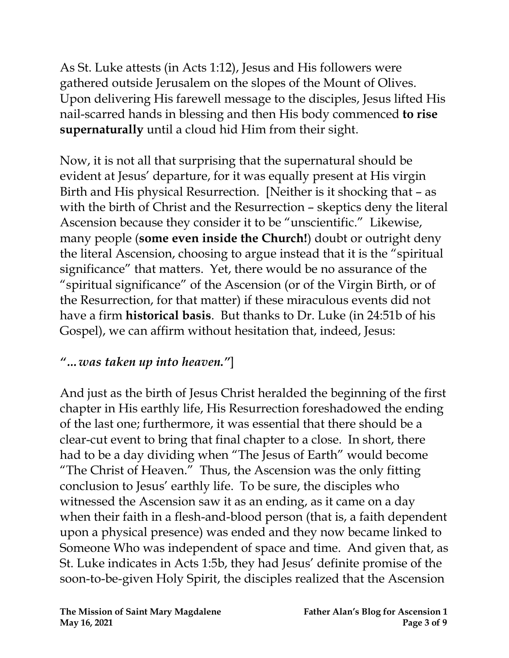As St. Luke attests (in Acts 1:12), Jesus and His followers were gathered outside Jerusalem on the slopes of the Mount of Olives. Upon delivering His farewell message to the disciples, Jesus lifted His nail-scarred hands in blessing and then His body commenced **to rise supernaturally** until a cloud hid Him from their sight.

Now, it is not all that surprising that the supernatural should be evident at Jesus' departure, for it was equally present at His virgin Birth and His physical Resurrection. [Neither is it shocking that – as with the birth of Christ and the Resurrection – skeptics deny the literal Ascension because they consider it to be "unscientific." Likewise, many people (**some even inside the Church!**) doubt or outright deny the literal Ascension, choosing to argue instead that it is the "spiritual significance" that matters. Yet, there would be no assurance of the "spiritual significance" of the Ascension (or of the Virgin Birth, or of the Resurrection, for that matter) if these miraculous events did not have a firm **historical basis**. But thanks to Dr. Luke (in 24:51b of his Gospel), we can affirm without hesitation that, indeed, Jesus:

#### *"…was taken up into heaven."*]

And just as the birth of Jesus Christ heralded the beginning of the first chapter in His earthly life, His Resurrection foreshadowed the ending of the last one; furthermore, it was essential that there should be a clear-cut event to bring that final chapter to a close. In short, there had to be a day dividing when "The Jesus of Earth" would become "The Christ of Heaven." Thus, the Ascension was the only fitting conclusion to Jesus' earthly life. To be sure, the disciples who witnessed the Ascension saw it as an ending, as it came on a day when their faith in a flesh-and-blood person (that is, a faith dependent upon a physical presence) was ended and they now became linked to Someone Who was independent of space and time. And given that, as St. Luke indicates in Acts 1:5b, they had Jesus' definite promise of the soon-to-be-given Holy Spirit, the disciples realized that the Ascension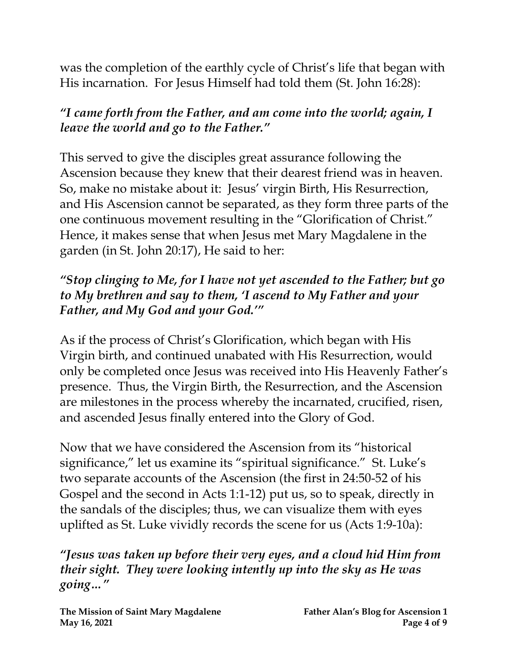was the completion of the earthly cycle of Christ's life that began with His incarnation. For Jesus Himself had told them (St. John 16:28):

# *"I came forth from the Father, and am come into the world; again, I leave the world and go to the Father."*

This served to give the disciples great assurance following the Ascension because they knew that their dearest friend was in heaven. So, make no mistake about it: Jesus' virgin Birth, His Resurrection, and His Ascension cannot be separated, as they form three parts of the one continuous movement resulting in the "Glorification of Christ." Hence, it makes sense that when Jesus met Mary Magdalene in the garden (in St. John 20:17), He said to her:

#### *"Stop clinging to Me, for I have not yet ascended to the Father; but go to My brethren and say to them, 'I ascend to My Father and your Father, and My God and your God.'"*

As if the process of Christ's Glorification, which began with His Virgin birth, and continued unabated with His Resurrection, would only be completed once Jesus was received into His Heavenly Father's presence. Thus, the Virgin Birth, the Resurrection, and the Ascension are milestones in the process whereby the incarnated, crucified, risen, and ascended Jesus finally entered into the Glory of God.

Now that we have considered the Ascension from its "historical significance," let us examine its "spiritual significance." St. Luke's two separate accounts of the Ascension (the first in 24:50-52 of his Gospel and the second in Acts 1:1-12) put us, so to speak, directly in the sandals of the disciples; thus, we can visualize them with eyes uplifted as St. Luke vividly records the scene for us (Acts 1:9-10a):

*"Jesus was taken up before their very eyes, and a cloud hid Him from their sight. They were looking intently up into the sky as He was going…"*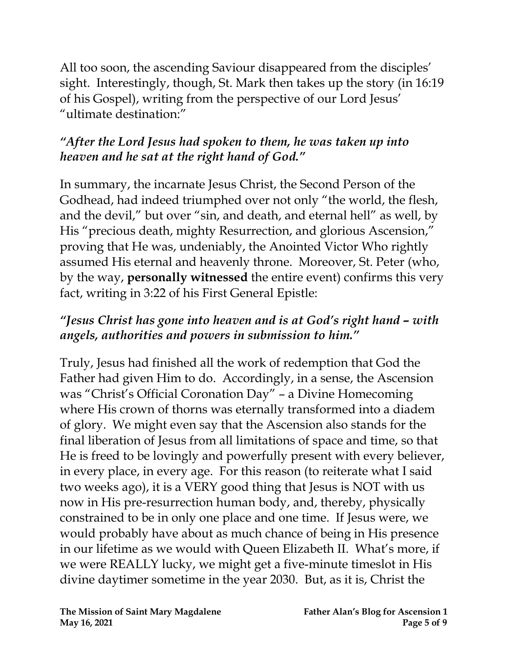All too soon, the ascending Saviour disappeared from the disciples' sight. Interestingly, though, St. Mark then takes up the story (in 16:19 of his Gospel), writing from the perspective of our Lord Jesus' "ultimate destination:"

## *"After the Lord Jesus had spoken to them, he was taken up into heaven and he sat at the right hand of God."*

In summary, the incarnate Jesus Christ, the Second Person of the Godhead, had indeed triumphed over not only "the world, the flesh, and the devil," but over "sin, and death, and eternal hell" as well, by His "precious death, mighty Resurrection, and glorious Ascension," proving that He was, undeniably, the Anointed Victor Who rightly assumed His eternal and heavenly throne. Moreover, St. Peter (who, by the way, **personally witnessed** the entire event) confirms this very fact, writing in 3:22 of his First General Epistle:

### *"Jesus Christ has gone into heaven and is at God's right hand – with angels, authorities and powers in submission to him."*

Truly, Jesus had finished all the work of redemption that God the Father had given Him to do. Accordingly, in a sense, the Ascension was "Christ's Official Coronation Day" – a Divine Homecoming where His crown of thorns was eternally transformed into a diadem of glory. We might even say that the Ascension also stands for the final liberation of Jesus from all limitations of space and time, so that He is freed to be lovingly and powerfully present with every believer, in every place, in every age. For this reason (to reiterate what I said two weeks ago), it is a VERY good thing that Jesus is NOT with us now in His pre-resurrection human body, and, thereby, physically constrained to be in only one place and one time. If Jesus were, we would probably have about as much chance of being in His presence in our lifetime as we would with Queen Elizabeth II. What's more, if we were REALLY lucky, we might get a five-minute timeslot in His divine daytimer sometime in the year 2030. But, as it is, Christ the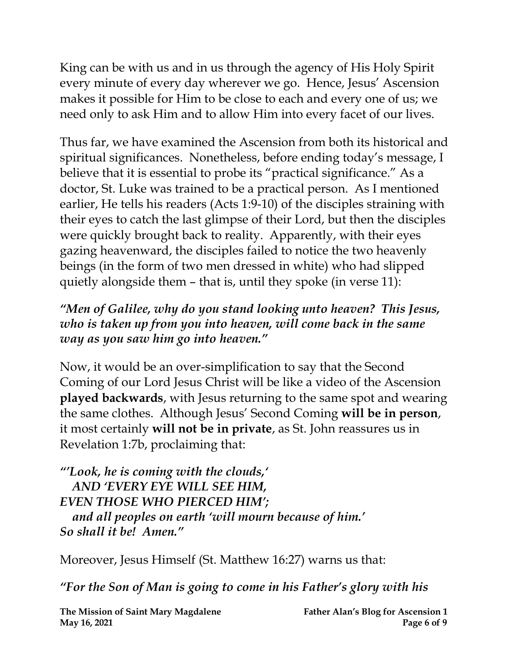King can be with us and in us through the agency of His Holy Spirit every minute of every day wherever we go. Hence, Jesus' Ascension makes it possible for Him to be close to each and every one of us; we need only to ask Him and to allow Him into every facet of our lives.

Thus far, we have examined the Ascension from both its historical and spiritual significances. Nonetheless, before ending today's message, I believe that it is essential to probe its "practical significance." As a doctor, St. Luke was trained to be a practical person. As I mentioned earlier, He tells his readers (Acts 1:9-10) of the disciples straining with their eyes to catch the last glimpse of their Lord, but then the disciples were quickly brought back to reality. Apparently, with their eyes gazing heavenward, the disciples failed to notice the two heavenly beings (in the form of two men dressed in white) who had slipped quietly alongside them – that is, until they spoke (in verse 11):

#### *"Men of Galilee, why do you stand looking unto heaven? This Jesus, who is taken up from you into heaven, will come back in the same way as you saw him go into heaven."*

Now, it would be an over-simplification to say that the Second Coming of our Lord Jesus Christ will be like a video of the Ascension **played backwards**, with Jesus returning to the same spot and wearing the same clothes. Although Jesus' Second Coming **will be in person**, it most certainly **will not be in private**, as St. John reassures us in Revelation 1:7b, proclaiming that:

*"'Look, he is coming with the clouds,' AND 'EVERY EYE WILL SEE HIM, EVEN THOSE WHO PIERCED HIM'; and all peoples on earth 'will mourn because of him.' So shall it be! Amen."*

Moreover, Jesus Himself (St. Matthew 16:27) warns us that:

*"For the Son of Man is going to come in his Father's glory with his*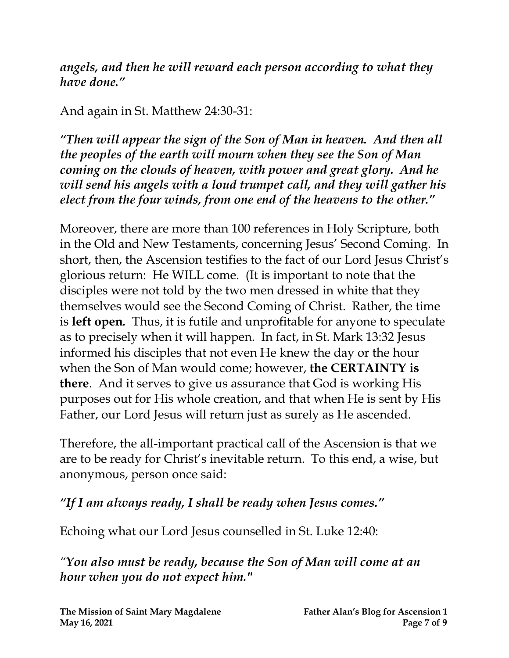*angels, and then he will reward each person according to what they have done."*

#### And again in St. Matthew 24:30-31:

*"Then will appear the sign of the Son of Man in heaven. And then all the peoples of the earth will mourn when they see the Son of Man coming on the clouds of heaven, with power and great glory. And he will send his angels with a loud trumpet call, and they will gather his elect from the four winds, from one end of the heavens to the other."*

Moreover, there are more than 100 references in Holy Scripture, both in the Old and New Testaments, concerning Jesus' Second Coming. In short, then, the Ascension testifies to the fact of our Lord Jesus Christ's glorious return: He WILL come. (It is important to note that the disciples were not told by the two men dressed in white that they themselves would see the Second Coming of Christ. Rather, the time is **left open***.* Thus, it is futile and unprofitable for anyone to speculate as to precisely when it will happen. In fact, in St. Mark 13:32 Jesus informed his disciples that not even He knew the day or the hour when the Son of Man would come; however, **the CERTAINTY is there**. And it serves to give us assurance that God is working His purposes out for His whole creation, and that when He is sent by His Father, our Lord Jesus will return just as surely as He ascended.

Therefore, the all-important practical call of the Ascension is that we are to be ready for Christ's inevitable return. To this end, a wise, but anonymous, person once said:

*"If I am always ready, I shall be ready when Jesus comes."*

Echoing what our Lord Jesus counselled in St. Luke 12:40:

*"You also must be ready, because the Son of Man will come at an hour when you do not expect him."*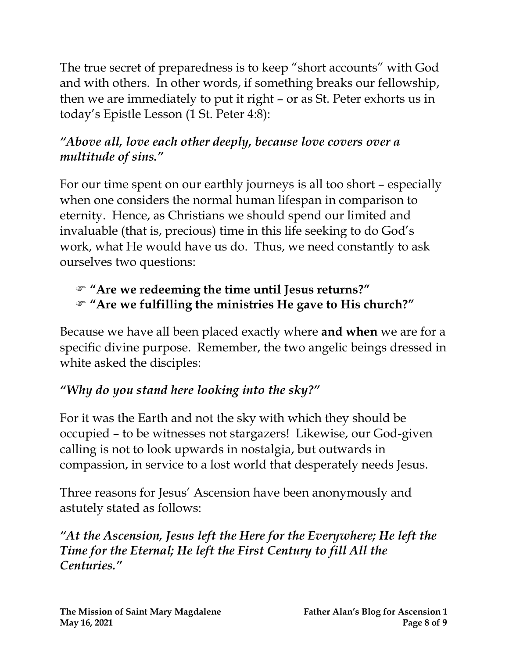The true secret of preparedness is to keep "short accounts" with God and with others. In other words, if something breaks our fellowship, then we are immediately to put it right – or as St. Peter exhorts us in today's Epistle Lesson (1 St. Peter 4:8):

# *"Above all, love each other deeply, because love covers over a multitude of sins."*

For our time spent on our earthly journeys is all too short – especially when one considers the normal human lifespan in comparison to eternity. Hence, as Christians we should spend our limited and invaluable (that is, precious) time in this life seeking to do God's work, what He would have us do. Thus, we need constantly to ask ourselves two questions:

### **"Are we redeeming the time until Jesus returns?" "Are we fulfilling the ministries He gave to His church?"**

Because we have all been placed exactly where **and when** we are for a specific divine purpose. Remember, the two angelic beings dressed in white asked the disciples:

# *"Why do you stand here looking into the sky?"*

For it was the Earth and not the sky with which they should be occupied – to be witnesses not stargazers! Likewise, our God-given calling is not to look upwards in nostalgia, but outwards in compassion, in service to a lost world that desperately needs Jesus.

Three reasons for Jesus' Ascension have been anonymously and astutely stated as follows:

*"At the Ascension, Jesus left the Here for the Everywhere; He left the Time for the Eternal; He left the First Century to fill All the Centuries."*